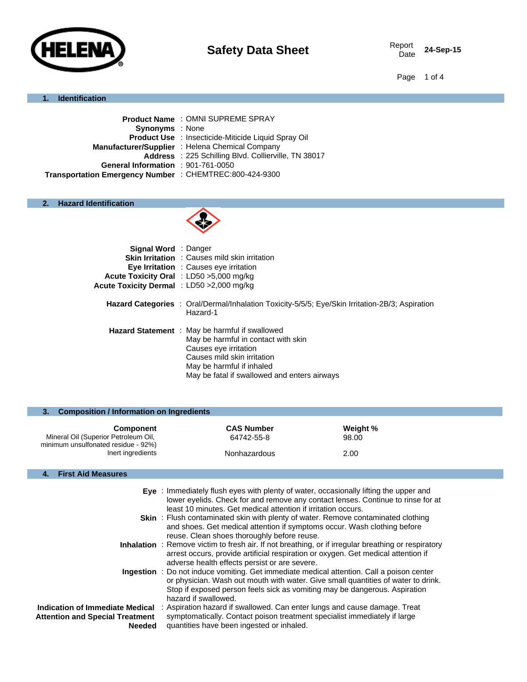

Date **24-Sep-15**

Page 1 of 4

#### **1. Identification**

|                                                         | <b>Product Name: OMNI SUPREME SPRAY</b>                    |
|---------------------------------------------------------|------------------------------------------------------------|
| <b>Synonyms</b> : None                                  |                                                            |
|                                                         | <b>Product Use</b> : Insecticide-Miticide Liquid Spray Oil |
|                                                         | Manufacturer/Supplier : Helena Chemical Company            |
|                                                         | Address : 225 Schilling Blvd. Collierville, TN 38017       |
| General Information : 901-761-0050                      |                                                            |
| Transportation Emergency Number : CHEMTREC:800-424-9300 |                                                            |

#### **2. Hazard Identification**



| <b>Signal Word</b> : Danger               |                                                                                                        |
|-------------------------------------------|--------------------------------------------------------------------------------------------------------|
|                                           | <b>Skin Irritation</b> : Causes mild skin irritation                                                   |
|                                           | <b>Eye Irritation</b> : Causes eye irritation                                                          |
|                                           | Acute Toxicity Oral : LD50 > 5,000 mg/kg                                                               |
| Acute Toxicity Dermal : LD50 >2,000 mg/kg |                                                                                                        |
|                                           |                                                                                                        |
|                                           | <b>Hazard Categories</b> : Oral/Dermal/Inhalation Toxicity-5/5/5; Eye/Skin Irritation-2B/3; Aspiration |
|                                           | Hazard-1                                                                                               |
|                                           |                                                                                                        |
|                                           | Hazard Statement : May be harmful if swallowed                                                         |
|                                           | May be harmful in contact with skin                                                                    |
|                                           | Causes eye irritation                                                                                  |
|                                           | Causes mild skin irritation                                                                            |
|                                           | May be harmful if inhaled                                                                              |
|                                           | May be fatal if swallowed and enters airways                                                           |
|                                           |                                                                                                        |

| 3. Composition / Information on Ingredients              |                                 |                   |  |
|----------------------------------------------------------|---------------------------------|-------------------|--|
| Component<br>Mineral Oil (Superior Petroleum Oil,        | <b>CAS Number</b><br>64742-55-8 | Weight %<br>98.00 |  |
| minimum unsulfonated residue - 92%)<br>Inert ingredients | Nonhazardous                    | 2.00              |  |
| <b>First Aid Measures</b>                                |                                 |                   |  |

| <b>Eye</b> : Immediately flush eyes with plenty of water, occasionally lifting the upper and |
|----------------------------------------------------------------------------------------------|
| lower eyelids. Check for and remove any contact lenses. Continue to rinse for at             |
| least 10 minutes. Get medical attention if irritation occurs.                                |
|                                                                                              |

- **Skin**: Flush contaminated skin with plenty of water. Remove contaminated clothing and shoes. Get medical attention if symptoms occur. Wash clothing before reuse. Clean shoes thoroughly before reuse.
- **Inhalation** : Remove victim to fresh air. If not breathing, or if irregular breathing or respiratory arrest occurs, provide artificial respiration or oxygen. Get medical attention if adverse health effects persist or are severe.
- **Ingestion** : Do not induce vomiting. Get immediate medical attention. Call a poison center or physician. Wash out mouth with water. Give small quantities of water to drink. Stop if exposed person feels sick as vomiting may be dangerous. Aspiration hazard if swallowed.
- **Indication of Immediate Medical**  : Aspiration hazard if swallowed. Can enter lungs and cause damage. Treat **Attention and Special Treatment Needed** symptomatically. Contact poison treatment specialist immediately if large quantities have been ingested or inhaled.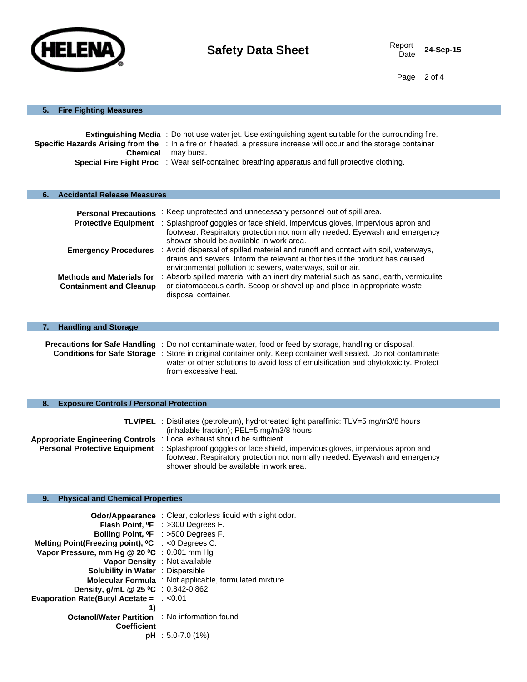

Date **24-Sep-15**

Page 2 of 4

# **5. Fire Fighting Measures**

|                 | <b>Extinguishing Media</b> : Do not use water jet. Use extinguishing agent suitable for the surrounding fire.        |  |
|-----------------|----------------------------------------------------------------------------------------------------------------------|--|
|                 | Specific Hazards Arising from the : In a fire or if heated, a pressure increase will occur and the storage container |  |
| <b>Chemical</b> | mav burst.                                                                                                           |  |
|                 | <b>Special Fire Fight Proc</b> : Wear self-contained breathing apparatus and full protective clothing.               |  |

# **6. Accidental Release Measures**

| <b>Personal Precautions</b>                                        | : Keep unprotected and unnecessary personnel out of spill area.                                                                                                                                                                                                                                          |
|--------------------------------------------------------------------|----------------------------------------------------------------------------------------------------------------------------------------------------------------------------------------------------------------------------------------------------------------------------------------------------------|
| <b>Protective Equipment</b>                                        | : Splashproof goggles or face shield, impervious gloves, impervious apron and<br>footwear. Respiratory protection not normally needed. Eyewash and emergency                                                                                                                                             |
|                                                                    | shower should be available in work area.<br><b>Emergency Procedures</b> : Avoid dispersal of spilled material and runoff and contact with soil, waterways,<br>drains and sewers. Inform the relevant authorities if the product has caused<br>environmental pollution to sewers, waterways, soil or air. |
| <b>Methods and Materials for</b><br><b>Containment and Cleanup</b> | : Absorb spilled material with an inert dry material such as sand, earth, vermiculite<br>or diatomaceous earth. Scoop or shovel up and place in appropriate waste<br>disposal container.                                                                                                                 |

| <b>Handling and Storage</b><br>7. |                                                                                                                                                                                                                                                                                                                                                         |
|-----------------------------------|---------------------------------------------------------------------------------------------------------------------------------------------------------------------------------------------------------------------------------------------------------------------------------------------------------------------------------------------------------|
|                                   | <b>Precautions for Safe Handling</b> : Do not contaminate water, food or feed by storage, handling or disposal.<br><b>Conditions for Safe Storage</b> : Store in original container only. Keep container well sealed. Do not contaminate<br>water or other solutions to avoid loss of emulsification and phytotoxicity. Protect<br>from excessive heat. |

# **8. Exposure Controls / Personal Protection**

|                                                                               | <b>TLV/PEL</b> : Distillates (petroleum), hydrotreated light paraffinic: TLV=5 mg/m3/8 hours                       |
|-------------------------------------------------------------------------------|--------------------------------------------------------------------------------------------------------------------|
|                                                                               | (inhalable fraction); PEL=5 mg/m3/8 hours                                                                          |
| <b>Appropriate Engineering Controls</b> : Local exhaust should be sufficient. |                                                                                                                    |
|                                                                               | <b>Personal Protective Equipment</b> : Splashproof goggles or face shield, impervious gloves, impervious apron and |
|                                                                               | footwear. Respiratory protection not normally needed. Eyewash and emergency                                        |
|                                                                               | shower should be available in work area.                                                                           |

# **9. Physical and Chemical Properties**

|                                                                     | <b>Odor/Appearance</b> : Clear, colorless liquid with slight odor. |
|---------------------------------------------------------------------|--------------------------------------------------------------------|
|                                                                     | <b>Flash Point, <math>{}^0F</math> : &gt;300 Degrees F.</b>        |
|                                                                     | Boiling Point, <sup>o</sup> F : >500 Degrees F.                    |
| Melting Point(Freezing point), <sup>o</sup> C : <0 Degrees C.       |                                                                    |
| Vapor Pressure, mm Hg $@$ 20 °C : 0.001 mm Hg                       |                                                                    |
| Vapor Density : Not available                                       |                                                                    |
| <b>Solubility in Water</b> : Dispersible                            |                                                                    |
|                                                                     | <b>Molecular Formula</b> : Not applicable, formulated mixture.     |
| <b>Density, g/mL @ 25 °C</b> : $0.842 - 0.862$                      |                                                                    |
| <b>Evaporation Rate (Butyl Acetate = <math>\div</math> &lt;0.01</b> |                                                                    |
| 1)                                                                  |                                                                    |
| <b>Octanol/Water Partition : No information found</b>               |                                                                    |
| <b>Coefficient</b>                                                  |                                                                    |
|                                                                     | $pH : 5.0 - 7.0$ (1%)                                              |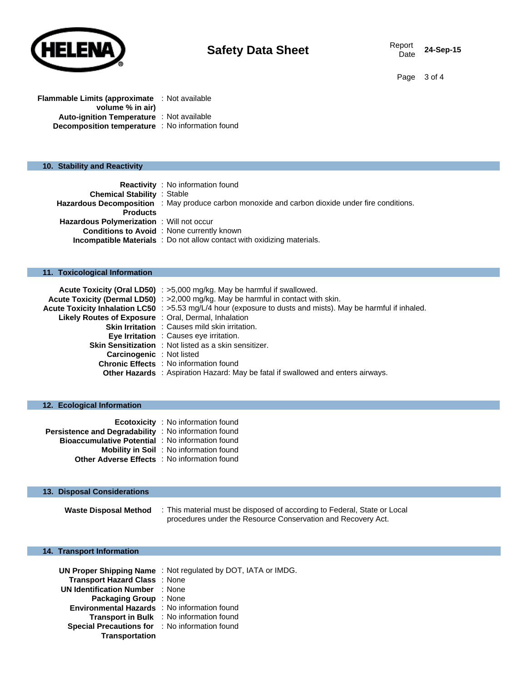

Date **24-Sep-15**

Page 3 of 4

**Flammable Limits (approximate**  : Not available **volume % in air) Auto-ignition Temperature** : Not available **Decomposition temperature** : No information found

# **10. Stability and Reactivity**

| <b>Reactivity</b> : No information found                                                               |
|--------------------------------------------------------------------------------------------------------|
| <b>Chemical Stability : Stable</b>                                                                     |
| <b>Hazardous Decomposition</b> : May produce carbon monoxide and carbon dioxide under fire conditions. |
|                                                                                                        |
| <b>Hazardous Polymerization</b> : Will not occur                                                       |
| <b>Conditions to Avoid</b> : None currently known                                                      |
| <b>Incompatible Materials</b> : Do not allow contact with oxidizing materials.                         |
|                                                                                                        |

# **11. Toxicological Information**

|                                                             | Acute Toxicity (Oral LD50) : >5,000 mg/kg. May be harmful if swallowed.                                      |
|-------------------------------------------------------------|--------------------------------------------------------------------------------------------------------------|
|                                                             | Acute Toxicity (Dermal LD50) : >2,000 mg/kg. May be harmful in contact with skin.                            |
|                                                             | Acute Toxicity Inhalation LC50 : >5.53 mg/L/4 hour (exposure to dusts and mists). May be harmful if inhaled. |
| <b>Likely Routes of Exposure</b> : Oral, Dermal, Inhalation |                                                                                                              |
|                                                             | <b>Skin Irritation</b> : Causes mild skin irritation.                                                        |
|                                                             | <b>Eye Irritation</b> : Causes eye irritation.                                                               |
|                                                             | <b>Skin Sensitization</b> : Not listed as a skin sensitizer.                                                 |
| <b>Carcinogenic</b> : Not listed                            |                                                                                                              |
|                                                             | <b>Chronic Effects</b> : No information found                                                                |
|                                                             | <b>Other Hazards</b> : Aspiration Hazard: May be fatal if swallowed and enters airways.                      |

# **12. Ecological Information**

|                                                             | <b>Ecotoxicity</b> : No information found      |
|-------------------------------------------------------------|------------------------------------------------|
| <b>Persistence and Degradability</b> : No information found |                                                |
| <b>Bioaccumulative Potential</b> : No information found     |                                                |
|                                                             | <b>Mobility in Soil</b> : No information found |
| <b>Other Adverse Effects</b> : No information found         |                                                |

# **13. Disposal Considerations**

**Waste Disposal Method** : This material must be disposed of according to Federal, State or Local procedures under the Resource Conservation and Recovery Act.

# **14. Transport Information**

|                                                     | UN Proper Shipping Name: Not regulated by DOT, IATA or IMDG. |
|-----------------------------------------------------|--------------------------------------------------------------|
| <b>Transport Hazard Class : None</b>                |                                                              |
| <b>UN Identification Number : None</b>              |                                                              |
| <b>Packaging Group</b> : None                       |                                                              |
| <b>Environmental Hazards</b> : No information found |                                                              |
|                                                     | Transport in Bulk : No information found                     |
| Special Precautions for : No information found      |                                                              |
| <b>Transportation</b>                               |                                                              |